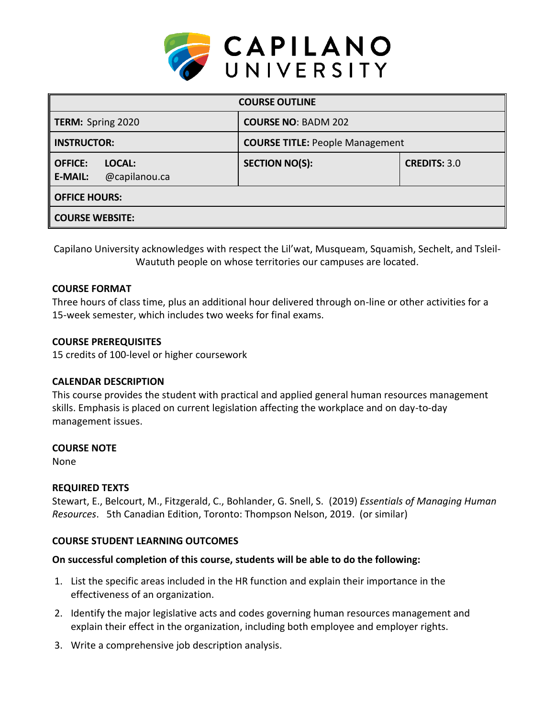

| <b>COURSE OUTLINE</b>                                       |                                        |                     |  |  |  |
|-------------------------------------------------------------|----------------------------------------|---------------------|--|--|--|
| <b>TERM:</b> Spring 2020                                    | <b>COURSE NO: BADM 202</b>             |                     |  |  |  |
| <b>INSTRUCTOR:</b>                                          | <b>COURSE TITLE: People Management</b> |                     |  |  |  |
| <b>OFFICE:</b><br>LOCAL:<br>@capilanou.ca<br><b>E-MAIL:</b> | <b>SECTION NO(S):</b>                  | <b>CREDITS: 3.0</b> |  |  |  |
| <b>OFFICE HOURS:</b>                                        |                                        |                     |  |  |  |
| <b>COURSE WEBSITE:</b>                                      |                                        |                     |  |  |  |

Capilano University acknowledges with respect the Lil'wat, Musqueam, Squamish, Sechelt, and Tsleil-Waututh people on whose territories our campuses are located.

### **COURSE FORMAT**

Three hours of class time, plus an additional hour delivered through on-line or other activities for a 15-week semester, which includes two weeks for final exams.

### **COURSE PREREQUISITES**

15 credits of 100-level or higher coursework

## **CALENDAR DESCRIPTION**

This course provides the student with practical and applied general human resources management skills. Emphasis is placed on current legislation affecting the workplace and on day-to-day management issues.

#### **COURSE NOTE**

None

## **REQUIRED TEXTS**

Stewart, E., Belcourt, M., Fitzgerald, C., Bohlander, G. Snell, S. (2019) *Essentials of Managing Human Resources*. 5th Canadian Edition, Toronto: Thompson Nelson, 2019. (or similar)

## **COURSE STUDENT LEARNING OUTCOMES**

## **On successful completion of this course, students will be able to do the following:**

- 1. List the specific areas included in the HR function and explain their importance in the effectiveness of an organization.
- 2. Identify the major legislative acts and codes governing human resources management and explain their effect in the organization, including both employee and employer rights.
- 3. Write a comprehensive job description analysis.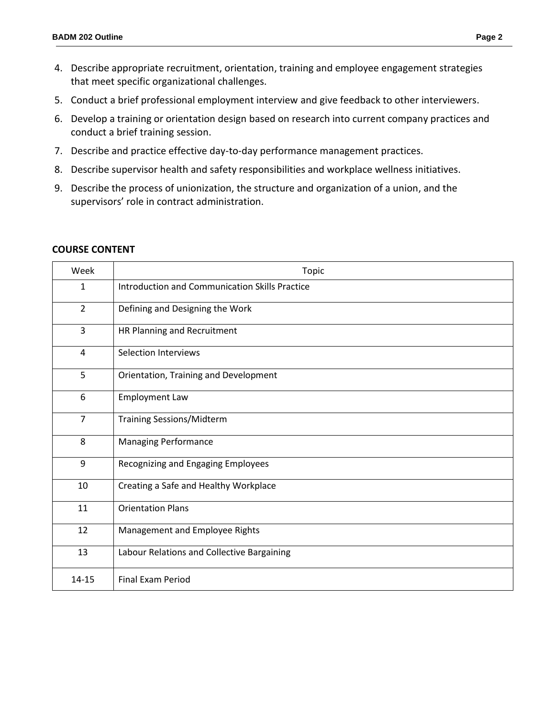- 4. Describe appropriate recruitment, orientation, training and employee engagement strategies that meet specific organizational challenges.
- 5. Conduct a brief professional employment interview and give feedback to other interviewers.
- 6. Develop a training or orientation design based on research into current company practices and conduct a brief training session.
- 7. Describe and practice effective day-to-day performance management practices.
- 8. Describe supervisor health and safety responsibilities and workplace wellness initiatives.
- 9. Describe the process of unionization, the structure and organization of a union, and the supervisors' role in contract administration.

| Week           | Topic                                                 |  |  |
|----------------|-------------------------------------------------------|--|--|
| 1              | <b>Introduction and Communication Skills Practice</b> |  |  |
| $\overline{2}$ | Defining and Designing the Work                       |  |  |
| 3              | HR Planning and Recruitment                           |  |  |
| 4              | <b>Selection Interviews</b>                           |  |  |
| 5              | Orientation, Training and Development                 |  |  |
| 6              | <b>Employment Law</b>                                 |  |  |
| $\overline{7}$ | <b>Training Sessions/Midterm</b>                      |  |  |
| 8              | <b>Managing Performance</b>                           |  |  |
| 9              | Recognizing and Engaging Employees                    |  |  |
| 10             | Creating a Safe and Healthy Workplace                 |  |  |
| 11             | <b>Orientation Plans</b>                              |  |  |
| 12             | Management and Employee Rights                        |  |  |
| 13             | Labour Relations and Collective Bargaining            |  |  |
| 14-15          | <b>Final Exam Period</b>                              |  |  |

#### **COURSE CONTENT**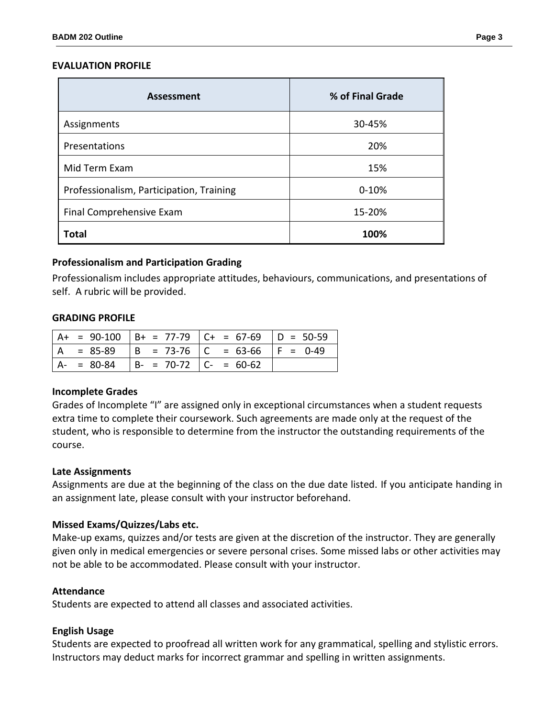#### **EVALUATION PROFILE**

| <b>Assessment</b>                        | % of Final Grade |  |
|------------------------------------------|------------------|--|
| Assignments                              | 30-45%           |  |
| Presentations                            | 20%              |  |
| Mid Term Exam                            | 15%              |  |
| Professionalism, Participation, Training | $0 - 10%$        |  |
| Final Comprehensive Exam                 | 15-20%           |  |
| Total                                    | 100%             |  |

#### **Professionalism and Participation Grading**

Professionalism includes appropriate attitudes, behaviours, communications, and presentations of self. A rubric will be provided.

#### **GRADING PROFILE**

|               |                         | $A+ = 90-100$ $B+ = 77-79$ $C+ = 67-69$ $D = 50-59$ |  |
|---------------|-------------------------|-----------------------------------------------------|--|
|               |                         | A = 85-89   B = 73-76   C = 63-66   F = 0-49        |  |
| $A - = 80-84$ | $ B- = 70-72 C = 60-62$ |                                                     |  |

#### **Incomplete Grades**

Grades of Incomplete "I" are assigned only in exceptional circumstances when a student requests extra time to complete their coursework. Such agreements are made only at the request of the student, who is responsible to determine from the instructor the outstanding requirements of the course.

#### **Late Assignments**

Assignments are due at the beginning of the class on the due date listed. If you anticipate handing in an assignment late, please consult with your instructor beforehand.

#### **Missed Exams/Quizzes/Labs etc.**

Make-up exams, quizzes and/or tests are given at the discretion of the instructor. They are generally given only in medical emergencies or severe personal crises. Some missed labs or other activities may not be able to be accommodated. Please consult with your instructor.

#### **Attendance**

Students are expected to attend all classes and associated activities.

#### **English Usage**

Students are expected to proofread all written work for any grammatical, spelling and stylistic errors. Instructors may deduct marks for incorrect grammar and spelling in written assignments.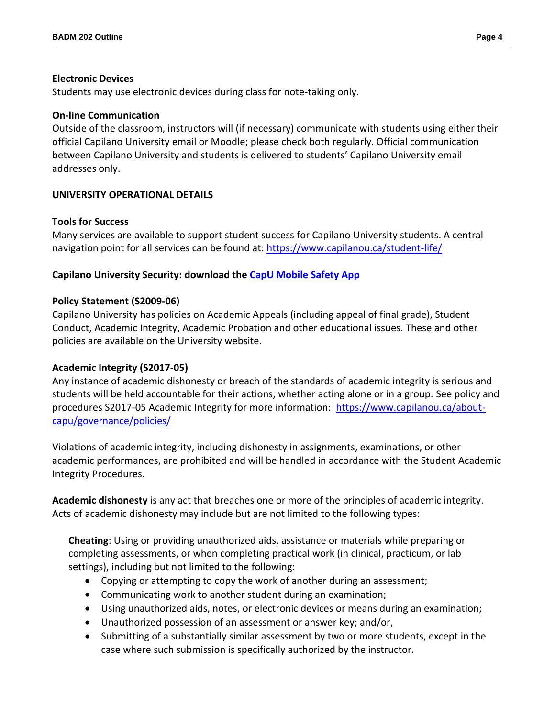### **Electronic Devices**

Students may use electronic devices during class for note-taking only.

### **On-line Communication**

Outside of the classroom, instructors will (if necessary) communicate with students using either their official Capilano University email or Moodle; please check both regularly. Official communication between Capilano University and students is delivered to students' Capilano University email addresses only.

## **UNIVERSITY OPERATIONAL DETAILS**

## **Tools for Success**

Many services are available to support student success for Capilano University students. A central navigation point for all services can be found at:<https://www.capilanou.ca/student-life/>

## **Capilano University Security: download the [CapU Mobile Safety App](https://www.capilanou.ca/student-life/support--wellness/safety--security/capu-safe-app/)**

### **Policy Statement (S2009-06)**

Capilano University has policies on Academic Appeals (including appeal of final grade), Student Conduct, Academic Integrity, Academic Probation and other educational issues. These and other policies are available on the University website.

#### **Academic Integrity (S2017-05)**

Any instance of academic dishonesty or breach of the standards of academic integrity is serious and students will be held accountable for their actions, whether acting alone or in a group. See policy and procedures S2017-05 Academic Integrity for more information: [https://www.capilanou.ca/about](https://www.capilanou.ca/about-capu/governance/policies/)[capu/governance/policies/](https://www.capilanou.ca/about-capu/governance/policies/)

Violations of academic integrity, including dishonesty in assignments, examinations, or other academic performances, are prohibited and will be handled in accordance with the Student Academic Integrity Procedures.

**Academic dishonesty** is any act that breaches one or more of the principles of academic integrity. Acts of academic dishonesty may include but are not limited to the following types:

**Cheating**: Using or providing unauthorized aids, assistance or materials while preparing or completing assessments, or when completing practical work (in clinical, practicum, or lab settings), including but not limited to the following:

- Copying or attempting to copy the work of another during an assessment;
- Communicating work to another student during an examination;
- Using unauthorized aids, notes, or electronic devices or means during an examination;
- Unauthorized possession of an assessment or answer key; and/or,
- Submitting of a substantially similar assessment by two or more students, except in the case where such submission is specifically authorized by the instructor.